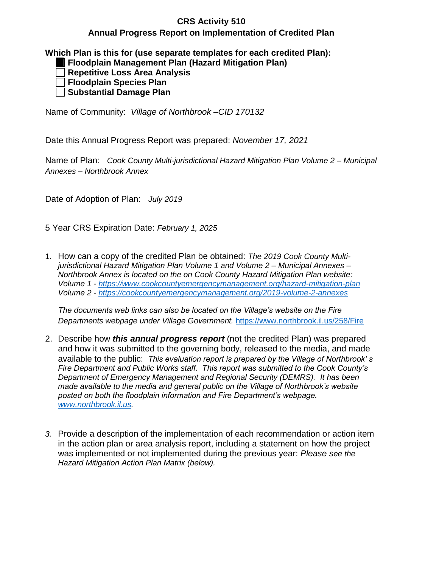## **CRS Activity 510**

## **Annual Progress Report on Implementation of Credited Plan**

## **Which Plan is this for (use separate templates for each credited Plan): Floodplain Management Plan (Hazard Mitigation Plan) Repetitive Loss Area Analysis Floodplain Species Plan Substantial Damage Plan**

Name of Community: *Village of Northbrook –CID 170132*

Date this Annual Progress Report was prepared: *November 17, 2021*

Name of Plan: *Cook County Multi-jurisdictional Hazard Mitigation Plan Volume 2 – Municipal Annexes – Northbrook Annex*

Date of Adoption of Plan: *July 2019*

5 Year CRS Expiration Date: *February 1, 2025*

1. How can a copy of the credited Plan be obtained: *The 2019 Cook County Multijurisdictional Hazard Mitigation Plan Volume 1 and Volume 2 – Municipal Annexes – Northbrook Annex is located on the on Cook County Hazard Mitigation Plan website: Volume 1 - <https://www.cookcountyemergencymanagement.org/hazard-mitigation-plan> Volume 2 - <https://cookcountyemergencymanagement.org/2019-volume-2-annexes>*

*The documents web links can also be located on the Village's website on the Fire Departments webpage under Village Government.* <https://www.northbrook.il.us/258/Fire>

- 2. Describe how *this annual progress report* (not the credited Plan) was prepared and how it was submitted to the governing body, released to the media, and made available to the public: *This evaluation report is prepared by the Village of Northbrook' s Fire Department and Public Works staff. This report was submitted to the Cook County's Department of Emergency Management and Regional Security (DEMRS). It has been made available to the media and general public on the Village of Northbrook's website posted on both the floodplain information and Fire Department's webpage. [www.northbrook.il.us.](http://www.northbrook.il.us/)*
- *3.* Provide a description of the implementation of each recommendation or action item in the action plan or area analysis report, including a statement on how the project was implemented or not implemented during the previous year: *Please see the Hazard Mitigation Action Plan Matrix (below).*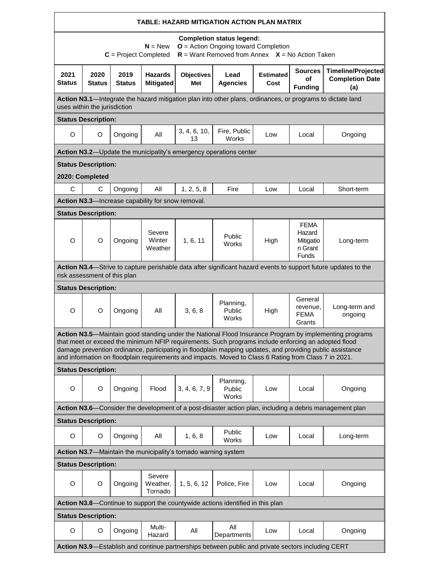| TABLE: HAZARD MITIGATION ACTION PLAN MATRIX                                                                                                                                                                                                                                                                                                                                                                                         |                              |                       |                                                   |                          |                                                                   |                          |                                                               |                                                                                                                |  |  |
|-------------------------------------------------------------------------------------------------------------------------------------------------------------------------------------------------------------------------------------------------------------------------------------------------------------------------------------------------------------------------------------------------------------------------------------|------------------------------|-----------------------|---------------------------------------------------|--------------------------|-------------------------------------------------------------------|--------------------------|---------------------------------------------------------------|----------------------------------------------------------------------------------------------------------------|--|--|
| <b>Completion status legend:</b><br>$O =$ Action Ongoing toward Completion<br>$N = New$<br>$R =$ Want Removed from Annex $X =$ No Action Taken<br>$C = Project Completed$                                                                                                                                                                                                                                                           |                              |                       |                                                   |                          |                                                                   |                          |                                                               |                                                                                                                |  |  |
| 2021<br>Status                                                                                                                                                                                                                                                                                                                                                                                                                      | 2020<br><b>Status</b>        | 2019<br><b>Status</b> | <b>Hazards</b><br><b>Mitigated</b>                | <b>Objectives</b><br>Met | Lead<br><b>Agencies</b>                                           | <b>Estimated</b><br>Cost | <b>Sources</b><br>οf<br><b>Funding</b>                        | Timeline/Projected<br><b>Completion Date</b><br>(a)                                                            |  |  |
| Action N3.1—Integrate the hazard mitigation plan into other plans, ordinances, or programs to dictate land<br>uses within the jurisdiction                                                                                                                                                                                                                                                                                          |                              |                       |                                                   |                          |                                                                   |                          |                                                               |                                                                                                                |  |  |
|                                                                                                                                                                                                                                                                                                                                                                                                                                     | <b>Status Description:</b>   |                       |                                                   |                          |                                                                   |                          |                                                               |                                                                                                                |  |  |
| O                                                                                                                                                                                                                                                                                                                                                                                                                                   | O                            | Ongoing               | All                                               | 3, 4, 6, 10,<br>13       | Fire, Public<br>Works                                             | Low                      | Local                                                         | Ongoing                                                                                                        |  |  |
|                                                                                                                                                                                                                                                                                                                                                                                                                                     |                              |                       |                                                   |                          | Action N3.2-Update the municipality's emergency operations center |                          |                                                               |                                                                                                                |  |  |
|                                                                                                                                                                                                                                                                                                                                                                                                                                     | <b>Status Description:</b>   |                       |                                                   |                          |                                                                   |                          |                                                               |                                                                                                                |  |  |
|                                                                                                                                                                                                                                                                                                                                                                                                                                     | 2020: Completed              |                       |                                                   |                          |                                                                   |                          |                                                               |                                                                                                                |  |  |
| C                                                                                                                                                                                                                                                                                                                                                                                                                                   | C                            | Ongoing               | All                                               | 1, 2, 5, 8               | Fire                                                              | Low                      | Local                                                         | Short-term                                                                                                     |  |  |
|                                                                                                                                                                                                                                                                                                                                                                                                                                     |                              |                       | Action N3.3-Increase capability for snow removal. |                          |                                                                   |                          |                                                               |                                                                                                                |  |  |
|                                                                                                                                                                                                                                                                                                                                                                                                                                     | <b>Status Description:</b>   |                       |                                                   |                          |                                                                   |                          |                                                               |                                                                                                                |  |  |
| O                                                                                                                                                                                                                                                                                                                                                                                                                                   | $\circ$                      | Ongoing               | Severe<br>Winter<br>Weather                       | 1, 6, 11                 | Public<br>Works                                                   | High                     | <b>FEMA</b><br>Hazard<br>Mitigatio<br>n Grant<br><b>Funds</b> | Long-term                                                                                                      |  |  |
|                                                                                                                                                                                                                                                                                                                                                                                                                                     | risk assessment of this plan |                       |                                                   |                          |                                                                   |                          |                                                               | Action N3.4—Strive to capture perishable data after significant hazard events to support future updates to the |  |  |
|                                                                                                                                                                                                                                                                                                                                                                                                                                     | <b>Status Description:</b>   |                       |                                                   |                          |                                                                   |                          |                                                               |                                                                                                                |  |  |
| O                                                                                                                                                                                                                                                                                                                                                                                                                                   | O                            | Ongoing               | All                                               | 3, 6, 8                  | Planning,<br>Public<br>Works                                      | High                     | General<br>revenue,<br><b>FEMA</b><br>Grants                  | Long-term and<br>ongoing                                                                                       |  |  |
| Action N3.5—Maintain good standing under the National Flood Insurance Program by implementing programs<br>that meet or exceed the minimum NFIP requirements. Such programs include enforcing an adopted flood<br>damage prevention ordinance, participating in floodplain mapping updates, and providing public assistance<br>and information on floodplain requirements and impacts. Moved to Class 6 Rating from Class 7 in 2021. |                              |                       |                                                   |                          |                                                                   |                          |                                                               |                                                                                                                |  |  |
| <b>Status Description:</b>                                                                                                                                                                                                                                                                                                                                                                                                          |                              |                       |                                                   |                          |                                                                   |                          |                                                               |                                                                                                                |  |  |
| O                                                                                                                                                                                                                                                                                                                                                                                                                                   | O                            | Ongoing               | Flood                                             | 3, 4, 6, 7, 9            | Planning,<br>Public<br>Works                                      | Low                      | Local                                                         | Ongoing                                                                                                        |  |  |
| Action N3.6—Consider the development of a post-disaster action plan, including a debris management plan                                                                                                                                                                                                                                                                                                                             |                              |                       |                                                   |                          |                                                                   |                          |                                                               |                                                                                                                |  |  |
| <b>Status Description:</b>                                                                                                                                                                                                                                                                                                                                                                                                          |                              |                       |                                                   |                          |                                                                   |                          |                                                               |                                                                                                                |  |  |
| O                                                                                                                                                                                                                                                                                                                                                                                                                                   | O                            | Ongoing               | All                                               | 1, 6, 8                  | Public<br>Works                                                   | Low                      | Local                                                         | Long-term                                                                                                      |  |  |
| Action N3.7-Maintain the municipality's tornado warning system                                                                                                                                                                                                                                                                                                                                                                      |                              |                       |                                                   |                          |                                                                   |                          |                                                               |                                                                                                                |  |  |
| <b>Status Description:</b>                                                                                                                                                                                                                                                                                                                                                                                                          |                              |                       |                                                   |                          |                                                                   |                          |                                                               |                                                                                                                |  |  |
| O                                                                                                                                                                                                                                                                                                                                                                                                                                   | O                            | Ongoing               | Severe<br>Weather,<br>Tornado                     | 1, 5, 6, 12              | Police, Fire                                                      | Low                      | Local                                                         | Ongoing                                                                                                        |  |  |
| Action N3.8-Continue to support the countywide actions identified in this plan                                                                                                                                                                                                                                                                                                                                                      |                              |                       |                                                   |                          |                                                                   |                          |                                                               |                                                                                                                |  |  |
| <b>Status Description:</b>                                                                                                                                                                                                                                                                                                                                                                                                          |                              |                       |                                                   |                          |                                                                   |                          |                                                               |                                                                                                                |  |  |
| O                                                                                                                                                                                                                                                                                                                                                                                                                                   | O                            | Ongoing               | Multi-<br>Hazard                                  | All                      | All<br>Departments                                                | Low                      | Local                                                         | Ongoing                                                                                                        |  |  |
| Action N3.9-Establish and continue partnerships between public and private sectors including CERT                                                                                                                                                                                                                                                                                                                                   |                              |                       |                                                   |                          |                                                                   |                          |                                                               |                                                                                                                |  |  |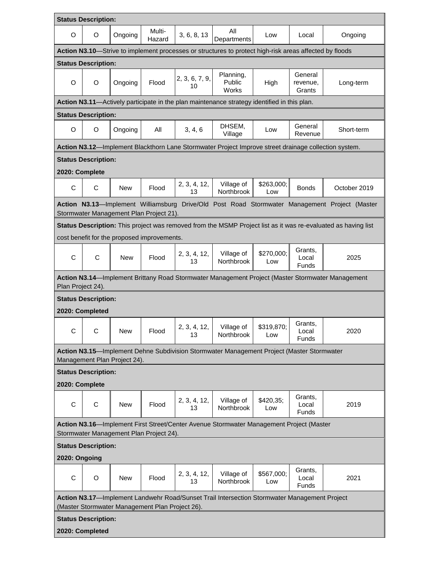| <b>Status Description:</b>                                                                                                               |                                                                                                                                                 |            |                                             |                      |                                                                                                      |                   |                                  |                                                                                                               |  |  |
|------------------------------------------------------------------------------------------------------------------------------------------|-------------------------------------------------------------------------------------------------------------------------------------------------|------------|---------------------------------------------|----------------------|------------------------------------------------------------------------------------------------------|-------------------|----------------------------------|---------------------------------------------------------------------------------------------------------------|--|--|
| O                                                                                                                                        | O                                                                                                                                               | Ongoing    | Multi-<br>Hazard                            | 3, 6, 8, 13          | All<br>Departments                                                                                   | Low               | Local                            | Ongoing                                                                                                       |  |  |
| Action N3.10-Strive to implement processes or structures to protect high-risk areas affected by floods                                   |                                                                                                                                                 |            |                                             |                      |                                                                                                      |                   |                                  |                                                                                                               |  |  |
| <b>Status Description:</b>                                                                                                               |                                                                                                                                                 |            |                                             |                      |                                                                                                      |                   |                                  |                                                                                                               |  |  |
| O                                                                                                                                        | O                                                                                                                                               | Ongoing    | Flood                                       | 2, 3, 6, 7, 9,<br>10 | Planning,<br>Public<br>Works                                                                         | High              | General<br>revenue,<br>Grants    | Long-term                                                                                                     |  |  |
|                                                                                                                                          |                                                                                                                                                 |            |                                             |                      | Action N3.11-Actively participate in the plan maintenance strategy identified in this plan.          |                   |                                  |                                                                                                               |  |  |
|                                                                                                                                          | <b>Status Description:</b>                                                                                                                      |            |                                             |                      |                                                                                                      |                   |                                  |                                                                                                               |  |  |
| O                                                                                                                                        | O                                                                                                                                               | Ongoing    | All                                         | 3, 4, 6              | DHSEM,<br>Village                                                                                    | Low               | General<br>Revenue               | Short-term                                                                                                    |  |  |
|                                                                                                                                          |                                                                                                                                                 |            |                                             |                      | Action N3.12-Implement Blackthorn Lane Stormwater Project Improve street drainage collection system. |                   |                                  |                                                                                                               |  |  |
|                                                                                                                                          | <b>Status Description:</b>                                                                                                                      |            |                                             |                      |                                                                                                      |                   |                                  |                                                                                                               |  |  |
| 2020: Complete                                                                                                                           |                                                                                                                                                 |            |                                             |                      |                                                                                                      |                   |                                  |                                                                                                               |  |  |
| С                                                                                                                                        | С                                                                                                                                               | New        | Flood                                       | 2, 3, 4, 12,<br>13   | Village of<br>Northbrook                                                                             | \$263,000;<br>Low | <b>Bonds</b>                     | October 2019                                                                                                  |  |  |
| Action N3.13-Implement Williamsburg Drive/Old Post Road Stormwater Management Project (Master<br>Stormwater Management Plan Project 21). |                                                                                                                                                 |            |                                             |                      |                                                                                                      |                   |                                  |                                                                                                               |  |  |
|                                                                                                                                          |                                                                                                                                                 |            |                                             |                      |                                                                                                      |                   |                                  | Status Description: This project was removed from the MSMP Project list as it was re-evaluated as having list |  |  |
|                                                                                                                                          |                                                                                                                                                 |            | cost benefit for the proposed improvements. |                      |                                                                                                      |                   |                                  |                                                                                                               |  |  |
| C                                                                                                                                        | C                                                                                                                                               | <b>New</b> | Flood                                       | 2, 3, 4, 12,<br>13   | Village of<br>Northbrook                                                                             | \$270,000;<br>Low | Grants,<br>Local<br>Funds        | 2025                                                                                                          |  |  |
|                                                                                                                                          | Action N3.14-Implement Brittany Road Stormwater Management Project (Master Stormwater Management<br>Plan Project 24).                           |            |                                             |                      |                                                                                                      |                   |                                  |                                                                                                               |  |  |
| <b>Status Description:</b>                                                                                                               |                                                                                                                                                 |            |                                             |                      |                                                                                                      |                   |                                  |                                                                                                               |  |  |
| 2020: Completed                                                                                                                          |                                                                                                                                                 |            |                                             |                      |                                                                                                      |                   |                                  |                                                                                                               |  |  |
| C                                                                                                                                        | C                                                                                                                                               | New        | Flood                                       | 2, 3, 4, 12,<br>13   | Village of<br>Northbrook                                                                             | \$319,870;<br>Low | Grants,<br>Local<br>Funds        | 2020                                                                                                          |  |  |
| Action N3.15-Implement Dehne Subdivision Stormwater Management Project (Master Stormwater<br>Management Plan Project 24).                |                                                                                                                                                 |            |                                             |                      |                                                                                                      |                   |                                  |                                                                                                               |  |  |
|                                                                                                                                          | <b>Status Description:</b>                                                                                                                      |            |                                             |                      |                                                                                                      |                   |                                  |                                                                                                               |  |  |
| 2020: Complete                                                                                                                           |                                                                                                                                                 |            |                                             |                      |                                                                                                      |                   |                                  |                                                                                                               |  |  |
| С                                                                                                                                        | С                                                                                                                                               | <b>New</b> | Flood                                       | 2, 3, 4, 12,<br>13   | Village of<br>Northbrook                                                                             | \$420,35;<br>Low  | Grants,<br>Local<br><b>Funds</b> | 2019                                                                                                          |  |  |
| Action N3.16-Implement First Street/Center Avenue Stormwater Management Project (Master<br>Stormwater Management Plan Project 24).       |                                                                                                                                                 |            |                                             |                      |                                                                                                      |                   |                                  |                                                                                                               |  |  |
| <b>Status Description:</b>                                                                                                               |                                                                                                                                                 |            |                                             |                      |                                                                                                      |                   |                                  |                                                                                                               |  |  |
| 2020: Ongoing                                                                                                                            |                                                                                                                                                 |            |                                             |                      |                                                                                                      |                   |                                  |                                                                                                               |  |  |
| С                                                                                                                                        | O                                                                                                                                               | New        | Flood                                       | 2, 3, 4, 12,<br>13   | Village of<br>Northbrook                                                                             | \$567,000;<br>Low | Grants,<br>Local<br><b>Funds</b> | 2021                                                                                                          |  |  |
|                                                                                                                                          | Action N3.17-Implement Landwehr Road/Sunset Trail Intersection Stormwater Management Project<br>(Master Stormwater Management Plan Project 26). |            |                                             |                      |                                                                                                      |                   |                                  |                                                                                                               |  |  |
| <b>Status Description:</b>                                                                                                               |                                                                                                                                                 |            |                                             |                      |                                                                                                      |                   |                                  |                                                                                                               |  |  |
| 2020: Completed                                                                                                                          |                                                                                                                                                 |            |                                             |                      |                                                                                                      |                   |                                  |                                                                                                               |  |  |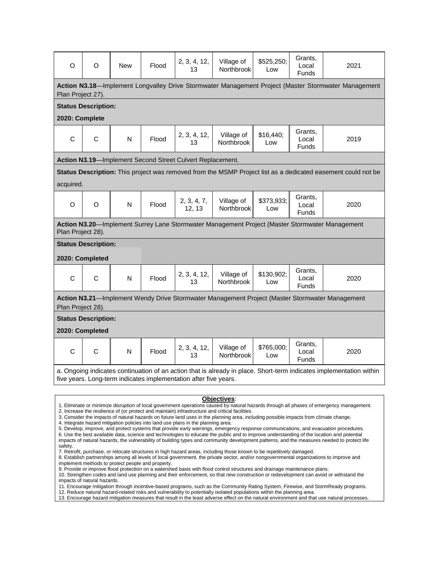| $\circ$                                                                                                                                                                                 | O | <b>New</b> | Flood | 2, 3, 4, 12,<br>13    | Village of<br><b>Northbrook</b> | \$525,250;<br>Low | Grants,<br>Local<br><b>Funds</b> | 2021 |  |
|-----------------------------------------------------------------------------------------------------------------------------------------------------------------------------------------|---|------------|-------|-----------------------|---------------------------------|-------------------|----------------------------------|------|--|
| Action N3.18-Implement Longvalley Drive Stormwater Management Project (Master Stormwater Management<br>Plan Project 27).                                                                |   |            |       |                       |                                 |                   |                                  |      |  |
| <b>Status Description:</b>                                                                                                                                                              |   |            |       |                       |                                 |                   |                                  |      |  |
| 2020: Complete                                                                                                                                                                          |   |            |       |                       |                                 |                   |                                  |      |  |
| C                                                                                                                                                                                       | C | N          | Flood | 2, 3, 4, 12,<br>13    | Village of<br>Northbrook        | \$16,440;<br>Low  | Grants,<br>Local<br>Funds        | 2019 |  |
| Action N3.19-Implement Second Street Culvert Replacement.                                                                                                                               |   |            |       |                       |                                 |                   |                                  |      |  |
| Status Description: This project was removed from the MSMP Project list as a dedicated easement could not be                                                                            |   |            |       |                       |                                 |                   |                                  |      |  |
| acquired.                                                                                                                                                                               |   |            |       |                       |                                 |                   |                                  |      |  |
| O                                                                                                                                                                                       | O | N          | Flood | 2, 3, 4, 7,<br>12, 13 | Village of<br>Northbrook        | \$373,933;<br>Low | Grants,<br>Local<br><b>Funds</b> | 2020 |  |
| Action N3.20-Implement Surrey Lane Stormwater Management Project (Master Stormwater Management<br>Plan Project 28).                                                                     |   |            |       |                       |                                 |                   |                                  |      |  |
| <b>Status Description:</b>                                                                                                                                                              |   |            |       |                       |                                 |                   |                                  |      |  |
| 2020: Completed                                                                                                                                                                         |   |            |       |                       |                                 |                   |                                  |      |  |
| C                                                                                                                                                                                       | C | N          | Flood | 2, 3, 4, 12,<br>13    | Village of<br>Northbrook        | \$130,902;<br>Low | Grants,<br>Local<br><b>Funds</b> | 2020 |  |
| Action N3.21-Implement Wendy Drive Stormwater Management Project (Master Stormwater Management<br>Plan Project 28).                                                                     |   |            |       |                       |                                 |                   |                                  |      |  |
| <b>Status Description:</b>                                                                                                                                                              |   |            |       |                       |                                 |                   |                                  |      |  |
| 2020: Completed                                                                                                                                                                         |   |            |       |                       |                                 |                   |                                  |      |  |
| C                                                                                                                                                                                       | C | N          | Flood | 2, 3, 4, 12,<br>13    | Village of<br><b>Northbrook</b> | \$765,000;<br>Low | Grants,<br>Local<br><b>Funds</b> | 2020 |  |
| a. Ongoing indicates continuation of an action that is already in place. Short-term indicates implementation within<br>five years. Long-term indicates implementation after five years. |   |            |       |                       |                                 |                   |                                  |      |  |

## **Objectives**:

1. Eliminate or minimize disruption of local government operations caused by natural hazards through all phases of emergency management.

2. Increase the resilience of (or protect and maintain) infrastructure and critical facilities.

- 3. Consider the impacts of natural hazards on future land uses in the planning area, including possible impacts from climate change.
- 4. Integrate hazard mitigation policies into land use plans in the planning area.
- 5. Develop, improve, and protect systems that provide early warnings, emergency response communications, and evacuation procedures.
- 6. Use the best available data, science and technologies to educate the public and to improve understanding of the location and potential impacts of natural hazards, the vulnerability of building types and community development patterns, and the measures needed to protect life safety.
- 7. Retrofit, purchase, or relocate structures in high hazard areas, including those known to be repetitively damaged.
- 8. Establish partnerships among all levels of local government, the private sector, and/or nongovernmental organizations to improve and implement methods to protect people and property.
- 9. Provide or improve flood protection on a watershed basis with flood control structures and drainage maintenance plans.

10. Strengthen codes and land use planning and their enforcement, so that new construction or redevelopment can avoid or withstand the impacts of natural hazards.

- 11. Encourage mitigation through incentive-based programs, such as the Community Rating System, Firewise, and StormReady programs.
- 12. Reduce natural hazard-related risks and vulnerability to potentially isolated populations within the planning area. 13. Encourage hazard mitigation measures that result in the least adverse effect on the natural environment and that use natural processes.